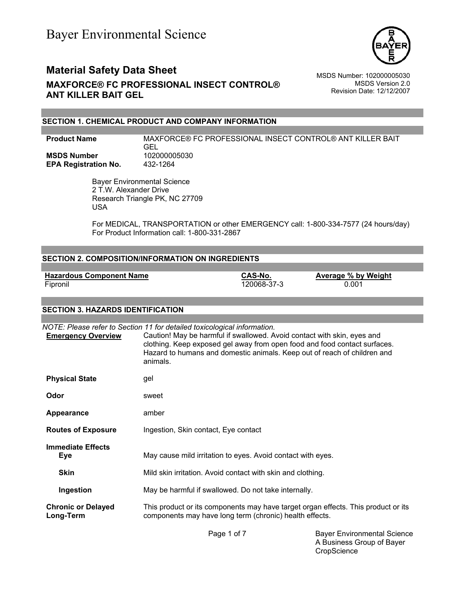

MSDS Version 2.0 Revision Date: 12/12/2007

### **SECTION 1. CHEMICAL PRODUCT AND COMPANY INFORMATION**

| <b>Product Name</b>         | MAXFORCE® FC PROFESSIONAL INSECT CONTROL® ANT KILLER BAIT<br>GEL |
|-----------------------------|------------------------------------------------------------------|
| <b>MSDS Number</b>          | 102000005030                                                     |
| <b>EPA Registration No.</b> | 432-1264                                                         |

 Bayer Environmental Science 2 T.W. Alexander Drive Research Triangle PK, NC 27709 USA

For MEDICAL, TRANSPORTATION or other EMERGENCY call: 1-800-334-7577 (24 hours/day) For Product Information call: 1-800-331-2867

#### **SECTION 2. COMPOSITION/INFORMATION ON INGREDIENTS**

**Hazardous Component Name**<br>
Fipronil **CAS-No. Average % by Weight**<br>
120068-37-3 0.001

 $\overline{120068} - 37 - 3$ 

#### **SECTION 3. HAZARDS IDENTIFICATION**

| <b>Emergency Overview</b>              | NOTE: Please refer to Section 11 for detailed toxicological information.<br>Caution! May be harmful if swallowed. Avoid contact with skin, eyes and<br>clothing. Keep exposed gel away from open food and food contact surfaces.<br>Hazard to humans and domestic animals. Keep out of reach of children and<br>animals. |
|----------------------------------------|--------------------------------------------------------------------------------------------------------------------------------------------------------------------------------------------------------------------------------------------------------------------------------------------------------------------------|
| <b>Physical State</b>                  | gel                                                                                                                                                                                                                                                                                                                      |
| Odor                                   | sweet                                                                                                                                                                                                                                                                                                                    |
| Appearance                             | amber                                                                                                                                                                                                                                                                                                                    |
| <b>Routes of Exposure</b>              | Ingestion, Skin contact, Eye contact                                                                                                                                                                                                                                                                                     |
| <b>Immediate Effects</b><br>Eye        | May cause mild irritation to eyes. Avoid contact with eyes.                                                                                                                                                                                                                                                              |
| <b>Skin</b>                            | Mild skin irritation. Avoid contact with skin and clothing.                                                                                                                                                                                                                                                              |
| Ingestion                              | May be harmful if swallowed. Do not take internally.                                                                                                                                                                                                                                                                     |
| <b>Chronic or Delayed</b><br>Long-Term | This product or its components may have target organ effects. This product or its<br>components may have long term (chronic) health effects.                                                                                                                                                                             |

Page 1 of 7 Bayer Environmental Science A Business Group of Bayer **CropScience**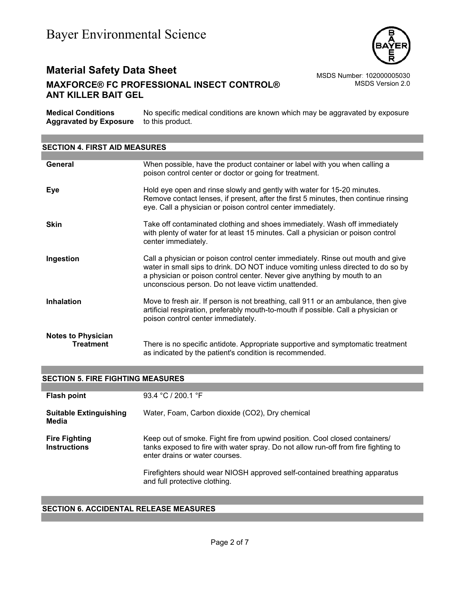

# **Material Safety Data Sheet** MSDS Number: 102000005030 **MAXFORCE® FC PROFESSIONAL INSECT CONTROL® ANT KILLER BAIT GEL**

MSDS Version 2.0

| <b>Medical Conditions</b><br><b>Aggravated by Exposure</b> | No specific medical conditions are known which may be aggravated by exposure<br>to this product.                                                                                                                                                                                                       |  |
|------------------------------------------------------------|--------------------------------------------------------------------------------------------------------------------------------------------------------------------------------------------------------------------------------------------------------------------------------------------------------|--|
|                                                            |                                                                                                                                                                                                                                                                                                        |  |
| <b>SECTION 4. FIRST AID MEASURES</b>                       |                                                                                                                                                                                                                                                                                                        |  |
|                                                            |                                                                                                                                                                                                                                                                                                        |  |
| General                                                    | When possible, have the product container or label with you when calling a<br>poison control center or doctor or going for treatment.                                                                                                                                                                  |  |
| <b>Eye</b>                                                 | Hold eye open and rinse slowly and gently with water for 15-20 minutes.<br>Remove contact lenses, if present, after the first 5 minutes, then continue rinsing<br>eye. Call a physician or poison control center immediately.                                                                          |  |
| <b>Skin</b>                                                | Take off contaminated clothing and shoes immediately. Wash off immediately<br>with plenty of water for at least 15 minutes. Call a physician or poison control<br>center immediately.                                                                                                                  |  |
| Ingestion                                                  | Call a physician or poison control center immediately. Rinse out mouth and give<br>water in small sips to drink. DO NOT induce vomiting unless directed to do so by<br>a physician or poison control center. Never give anything by mouth to an<br>unconscious person. Do not leave victim unattended. |  |
| <b>Inhalation</b>                                          | Move to fresh air. If person is not breathing, call 911 or an ambulance, then give<br>artificial respiration, preferably mouth-to-mouth if possible. Call a physician or<br>poison control center immediately.                                                                                         |  |
| <b>Notes to Physician</b><br><b>Treatment</b>              | There is no specific antidote. Appropriate supportive and symptomatic treatment<br>as indicated by the patient's condition is recommended.                                                                                                                                                             |  |

#### **SECTION 5. FIRE FIGHTING MEASURES**

| <b>Flash point</b>                          | 93.4 °C / 200.1 °F                                                                                                                                                                                  |
|---------------------------------------------|-----------------------------------------------------------------------------------------------------------------------------------------------------------------------------------------------------|
| <b>Suitable Extinguishing</b><br>Media      | Water, Foam, Carbon dioxide (CO2), Dry chemical                                                                                                                                                     |
| <b>Fire Fighting</b><br><b>Instructions</b> | Keep out of smoke. Fight fire from upwind position. Cool closed containers/<br>tanks exposed to fire with water spray. Do not allow run-off from fire fighting to<br>enter drains or water courses. |
|                                             | Firefighters should wear NIOSH approved self-contained breathing apparatus<br>and full protective clothing.                                                                                         |

## **SECTION 6. ACCIDENTAL RELEASE MEASURES**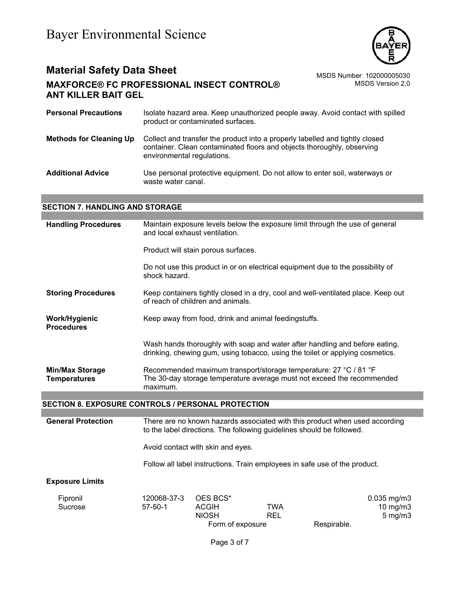

MSDS Version 2.0

| <b>Personal Precautions</b>    | Isolate hazard area. Keep unauthorized people away. Avoid contact with spilled<br>product or contaminated surfaces.                                                                  |
|--------------------------------|--------------------------------------------------------------------------------------------------------------------------------------------------------------------------------------|
| <b>Methods for Cleaning Up</b> | Collect and transfer the product into a properly labelled and tightly closed<br>container. Clean contaminated floors and objects thoroughly, observing<br>environmental regulations. |
| <b>Additional Advice</b>       | Use personal protective equipment. Do not allow to enter soil, waterways or<br>waste water canal.                                                                                    |

# **SECTION 7. HANDLING AND STORAGE**

| <b>Handling Procedures</b>                                | Maintain exposure levels below the exposure limit through the use of general<br>and local exhaust ventilation.                                         |                                          |                                                                            |                                                                                                                                                              |
|-----------------------------------------------------------|--------------------------------------------------------------------------------------------------------------------------------------------------------|------------------------------------------|----------------------------------------------------------------------------|--------------------------------------------------------------------------------------------------------------------------------------------------------------|
|                                                           |                                                                                                                                                        | Product will stain porous surfaces.      |                                                                            |                                                                                                                                                              |
|                                                           | shock hazard.                                                                                                                                          |                                          |                                                                            | Do not use this product in or on electrical equipment due to the possibility of                                                                              |
| <b>Storing Procedures</b>                                 |                                                                                                                                                        | of reach of children and animals.        |                                                                            | Keep containers tightly closed in a dry, cool and well-ventilated place. Keep out                                                                            |
| Work/Hygienic<br><b>Procedures</b>                        | Keep away from food, drink and animal feedingstuffs.                                                                                                   |                                          |                                                                            |                                                                                                                                                              |
|                                                           |                                                                                                                                                        |                                          |                                                                            | Wash hands thoroughly with soap and water after handling and before eating,<br>drinking, chewing gum, using tobacco, using the toilet or applying cosmetics. |
| <b>Min/Max Storage</b><br><b>Temperatures</b>             | Recommended maximum transport/storage temperature: 27 °C / 81 °F<br>The 30-day storage temperature average must not exceed the recommended<br>maximum. |                                          |                                                                            |                                                                                                                                                              |
|                                                           |                                                                                                                                                        |                                          |                                                                            |                                                                                                                                                              |
| <b>SECTION 8. EXPOSURE CONTROLS / PERSONAL PROTECTION</b> |                                                                                                                                                        |                                          |                                                                            |                                                                                                                                                              |
| <b>General Protection</b>                                 |                                                                                                                                                        |                                          | to the label directions. The following guidelines should be followed.      | There are no known hazards associated with this product when used according                                                                                  |
|                                                           |                                                                                                                                                        | Avoid contact with skin and eyes.        |                                                                            |                                                                                                                                                              |
|                                                           |                                                                                                                                                        |                                          | Follow all label instructions. Train employees in safe use of the product. |                                                                                                                                                              |
| <b>Exposure Limits</b>                                    |                                                                                                                                                        |                                          |                                                                            |                                                                                                                                                              |
| Fipronil<br>Sucrose                                       | 120068-37-3<br>$57 - 50 - 1$                                                                                                                           | OES BCS*<br><b>ACGIH</b><br><b>NIOSH</b> | <b>TWA</b><br><b>REL</b>                                                   | 0.035 mg/m3<br>$10$ mg/m $3$<br>$5$ mg/m $3$                                                                                                                 |

Form of exposure Respirable.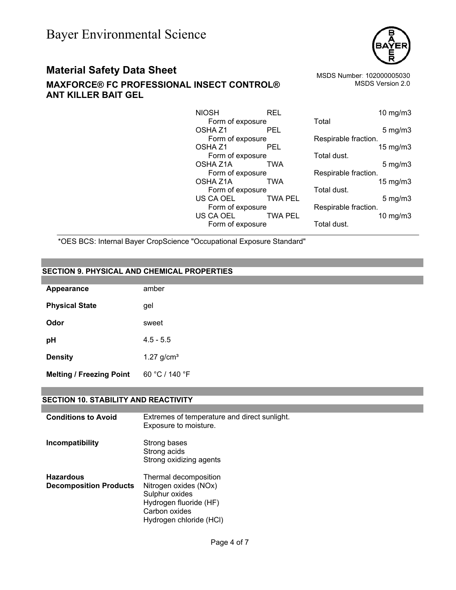

# **Material Safety Data Sheet** Material Safety Data Sheet MSDS Number: 102000005030

**MAXFORCE® FC PROFESSIONAL INSECT CONTROL® ANT KILLER BAIT GEL** 

MSDS Version 2.0

| <b>NIOSH</b>       | <b>REL</b>     | 10 mg/m3             |
|--------------------|----------------|----------------------|
| Form of exposure   |                | Total                |
| OSHA <sub>Z1</sub> | <b>PEL</b>     | $5$ mg/m $3$         |
| Form of exposure   |                | Respirable fraction. |
| OSHA Z1            | <b>PEL</b>     | 15 mg/m3             |
| Form of exposure   |                | Total dust.          |
| OSHA Z1A           | TWA            | $5$ mg/m $3$         |
| Form of exposure   |                | Respirable fraction. |
| OSHA Z1A           | TWA            | 15 mg/m3             |
| Form of exposure   |                | Total dust.          |
| US CA OEL          | TWA PEL        | $5$ mg/m $3$         |
| Form of exposure   |                | Respirable fraction. |
| US CA OEL          | <b>TWA PEL</b> | $10$ mg/m $3$        |
| Form of exposure   |                | Total dust.          |

| Total                | 10 mg/m3          |
|----------------------|-------------------|
|                      | $5 \text{ mg/m}$  |
| Respirable fraction. | 15 mg/m3          |
| Total dust.          |                   |
| Respirable fraction. | $5 \text{ mg/m}$  |
|                      | $15 \text{ mg/m}$ |
| Total dust.          | $5$ mg/m $3$      |
| Respirable fraction. |                   |
| Total dust.          | 10 $mg/m3$        |
|                      |                   |

\*OES BCS: Internal Bayer CropScience "Occupational Exposure Standard"

# **SECTION 9. PHYSICAL AND CHEMICAL PROPERTIES**

| Appearance                      | amber                    |
|---------------------------------|--------------------------|
| <b>Physical State</b>           | gel                      |
| Odor                            | sweet                    |
| pH                              | $4.5 - 5.5$              |
| <b>Density</b>                  | $1.27$ g/cm <sup>3</sup> |
| <b>Melting / Freezing Point</b> | 60 °C / 140 °F           |

### **SECTION 10. STABILITY AND REACTIVITY**

| <b>Conditions to Avoid</b>                        | Extremes of temperature and direct sunlight.<br>Exposure to moisture.                                                                  |
|---------------------------------------------------|----------------------------------------------------------------------------------------------------------------------------------------|
| Incompatibility                                   | Strong bases<br>Strong acids<br>Strong oxidizing agents                                                                                |
| <b>Hazardous</b><br><b>Decomposition Products</b> | Thermal decomposition<br>Nitrogen oxides (NOx)<br>Sulphur oxides<br>Hydrogen fluoride (HF)<br>Carbon oxides<br>Hydrogen chloride (HCI) |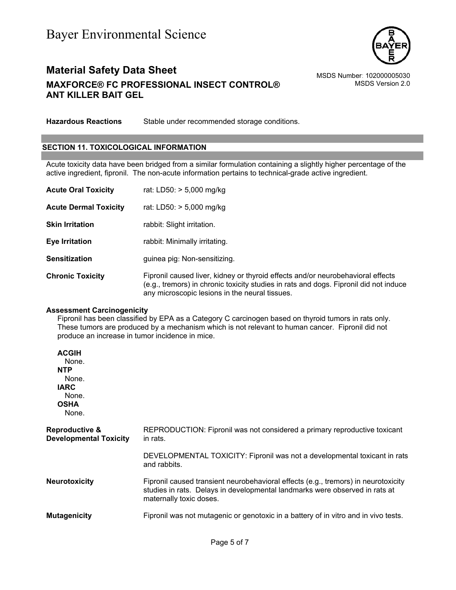

MSDS Version 2.0

**Hazardous Reactions** Stable under recommended storage conditions.

### **SECTION 11. TOXICOLOGICAL INFORMATION**

Acute toxicity data have been bridged from a similar formulation containing a slightly higher percentage of the active ingredient, fipronil. The non-acute information pertains to technical-grade active ingredient.

| <b>Acute Oral Toxicity</b>   | rat: LD50: > 5,000 mg/kg                                                                                                                                                 |
|------------------------------|--------------------------------------------------------------------------------------------------------------------------------------------------------------------------|
| <b>Acute Dermal Toxicity</b> | rat: LD50: $> 5,000$ mg/kg                                                                                                                                               |
| <b>Skin Irritation</b>       | rabbit: Slight irritation.                                                                                                                                               |
| <b>Eye Irritation</b>        | rabbit: Minimally irritating.                                                                                                                                            |
| <b>Sensitization</b>         | guinea pig: Non-sensitizing.                                                                                                                                             |
| <b>Chronic Toxicity</b>      | Fipronil caused liver, kidney or thyroid effects and/or neurobehavioral effects<br>(e.g., tremors) in chronic toxicity studies in rats and dogs. Fipronil did not induce |

#### **Assessment Carcinogenicity**

Fipronil has been classified by EPA as a Category C carcinogen based on thyroid tumors in rats only. These tumors are produced by a mechanism which is not relevant to human cancer. Fipronil did not produce an increase in tumor incidence in mice.

any microscopic lesions in the neural tissues.

| <b>ACGIH</b><br>None.<br><b>NTP</b><br>None.<br><b>IARC</b><br>None.<br><b>OSHA</b><br>None. |                                                                                                                                                                                              |
|----------------------------------------------------------------------------------------------|----------------------------------------------------------------------------------------------------------------------------------------------------------------------------------------------|
| <b>Reproductive &amp;</b><br><b>Developmental Toxicity</b>                                   | REPRODUCTION: Fipronil was not considered a primary reproductive toxicant<br>in rats.                                                                                                        |
|                                                                                              | DEVELOPMENTAL TOXICITY: Fipronil was not a developmental toxicant in rats<br>and rabbits.                                                                                                    |
| <b>Neurotoxicity</b>                                                                         | Fipronil caused transient neurobehavioral effects (e.g., tremors) in neurotoxicity<br>studies in rats. Delays in developmental landmarks were observed in rats at<br>maternally toxic doses. |
| <b>Mutagenicity</b>                                                                          | Fipronil was not mutagenic or genotoxic in a battery of in vitro and in vivo tests.                                                                                                          |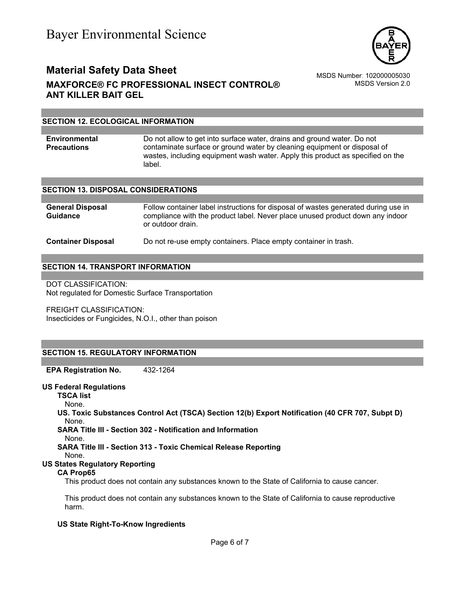

MSDS Version 2.0

# **SECTION 12. ECOLOGICAL INFORMATION**

**Environmental Precautions**  Do not allow to get into surface water, drains and ground water. Do not contaminate surface or ground water by cleaning equipment or disposal of wastes, including equipment wash water. Apply this product as specified on the label.

#### **SECTION 13. DISPOSAL CONSIDERATIONS**

| <b>General Disposal</b><br><b>Guidance</b> | Follow container label instructions for disposal of wastes generated during use in<br>compliance with the product label. Never place unused product down any indoor<br>or outdoor drain. |
|--------------------------------------------|------------------------------------------------------------------------------------------------------------------------------------------------------------------------------------------|
| <b>Container Disposal</b>                  | Do not re-use empty containers. Place empty container in trash.                                                                                                                          |

#### **SECTION 14. TRANSPORT INFORMATION**

DOT CLASSIFICATION: Not regulated for Domestic Surface Transportation

FREIGHT CLASSIFICATION: Insecticides or Fungicides, N.O.I., other than poison

# **SECTION 15. REGULATORY INFORMATION**

**EPA Registration No.** 432-1264

### **US Federal Regulations**

**TSCA list**

```
None.
```
**US. Toxic Substances Control Act (TSCA) Section 12(b) Export Notification (40 CFR 707, Subpt D)** None.

**SARA Title III - Section 302 - Notification and Information**

None.

**SARA Title III - Section 313 - Toxic Chemical Release Reporting**

None.

# **US States Regulatory Reporting**

#### **CA Prop65**

This product does not contain any substances known to the State of California to cause cancer.

This product does not contain any substances known to the State of California to cause reproductive harm.

### **US State Right-To-Know Ingredients**